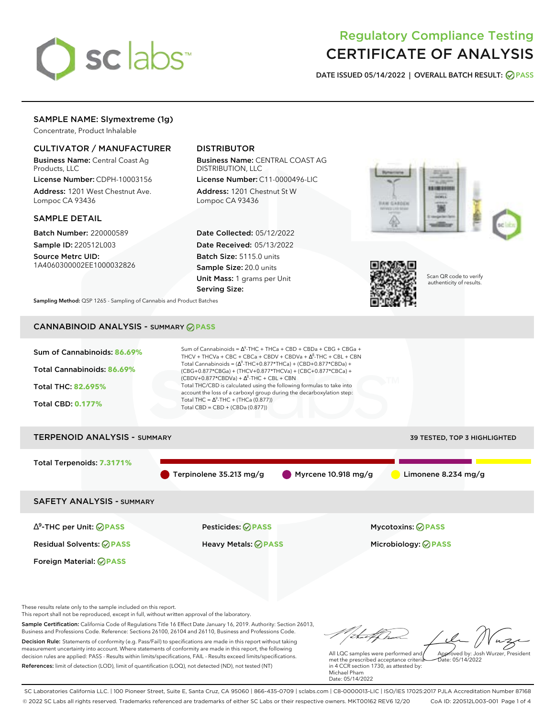

# Regulatory Compliance Testing CERTIFICATE OF ANALYSIS

**DATE ISSUED 05/14/2022 | OVERALL BATCH RESULT: PASS**

# SAMPLE NAME: Slymextreme (1g)

Concentrate, Product Inhalable

### CULTIVATOR / MANUFACTURER

Business Name: Central Coast Ag Products, LLC

License Number: CDPH-10003156 Address: 1201 West Chestnut Ave. Lompoc CA 93436

### SAMPLE DETAIL

Batch Number: 220000589 Sample ID: 220512L003

Source Metrc UID: 1A4060300002EE1000032826

# DISTRIBUTOR

Business Name: CENTRAL COAST AG DISTRIBUTION, LLC

License Number: C11-0000496-LIC Address: 1201 Chestnut St W Lompoc CA 93436

Date Collected: 05/12/2022 Date Received: 05/13/2022 Batch Size: 5115.0 units Sample Size: 20.0 units Unit Mass: 1 grams per Unit Serving Size:





Scan QR code to verify authenticity of results.

**Sampling Method:** QSP 1265 - Sampling of Cannabis and Product Batches

# CANNABINOID ANALYSIS - SUMMARY **PASS**



Sample Certification: California Code of Regulations Title 16 Effect Date January 16, 2019. Authority: Section 26013, Business and Professions Code. Reference: Sections 26100, 26104 and 26110, Business and Professions Code. Decision Rule: Statements of conformity (e.g. Pass/Fail) to specifications are made in this report without taking measurement uncertainty into account. Where statements of conformity are made in this report, the following decision rules are applied: PASS - Results within limits/specifications, FAIL - Results exceed limits/specifications. References: limit of detection (LOD), limit of quantification (LOQ), not detected (ND), not tested (NT)

All LQC samples were performed and met the prescribed acceptance criteria in 4 CCR section 1730, as attested by: Michael Pham Approved by: Josh Wurzer, President  $hat: 05/14/2022$ 

Date: 05/14/2022

tu of h

SC Laboratories California LLC. | 100 Pioneer Street, Suite E, Santa Cruz, CA 95060 | 866-435-0709 | sclabs.com | C8-0000013-LIC | ISO/IES 17025:2017 PJLA Accreditation Number 87168 © 2022 SC Labs all rights reserved. Trademarks referenced are trademarks of either SC Labs or their respective owners. MKT00162 REV6 12/20 CoA ID: 220512L003-001 Page 1 of 4